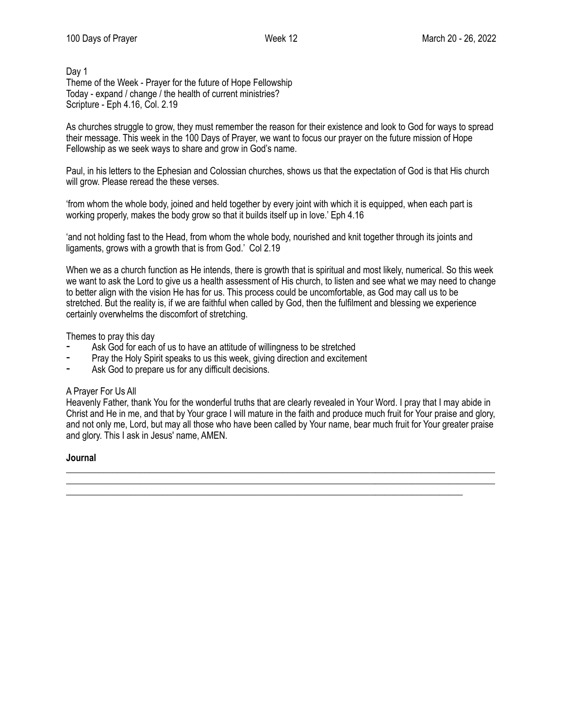## Day 1 Theme of the Week - Prayer for the future of Hope Fellowship Today - expand / change / the health of current ministries? Scripture - Eph 4.16, Col. 2.19

As churches struggle to grow, they must remember the reason for their existence and look to God for ways to spread their message. This week in the 100 Days of Prayer, we want to focus our prayer on the future mission of Hope Fellowship as we seek ways to share and grow in God's name.

Paul, in his letters to the Ephesian and Colossian churches, shows us that the expectation of God is that His church will grow. Please reread the these verses.

'from whom the whole body, joined and held together by every joint with which it is equipped, when each part is working properly, makes the body grow so that it builds itself up in love.' Eph 4.16

'and not holding fast to the Head, from whom the whole body, nourished and knit together through its joints and ligaments, grows with a growth that is from God.' Col 2.19

When we as a church function as He intends, there is growth that is spiritual and most likely, numerical. So this week we want to ask the Lord to give us a health assessment of His church, to listen and see what we may need to change to better align with the vision He has for us. This process could be uncomfortable, as God may call us to be stretched. But the reality is, if we are faithful when called by God, then the fulfilment and blessing we experience certainly overwhelms the discomfort of stretching.

Themes to pray this day

- Ask God for each of us to have an attitude of willingness to be stretched
- Pray the Holy Spirit speaks to us this week, giving direction and excitement
- Ask God to prepare us for any difficult decisions.

## A Prayer For Us All

Heavenly Father, thank You for the wonderful truths that are clearly revealed in Your Word. I pray that I may abide in Christ and He in me, and that by Your grace I will mature in the faith and produce much fruit for Your praise and glory, and not only me, Lord, but may all those who have been called by Your name, bear much fruit for Your greater praise and glory. This I ask in Jesus' name, AMEN.

\_\_\_\_\_\_\_\_\_\_\_\_\_\_\_\_\_\_\_\_\_\_\_\_\_\_\_\_\_\_\_\_\_\_\_\_\_\_\_\_\_\_\_\_\_\_\_\_\_\_\_\_\_\_\_\_\_\_\_\_\_\_\_\_\_\_\_\_\_\_\_\_\_\_\_\_\_\_\_\_\_\_\_\_\_\_\_\_\_\_\_\_\_ \_\_\_\_\_\_\_\_\_\_\_\_\_\_\_\_\_\_\_\_\_\_\_\_\_\_\_\_\_\_\_\_\_\_\_\_\_\_\_\_\_\_\_\_\_\_\_\_\_\_\_\_\_\_\_\_\_\_\_\_\_\_\_\_\_\_\_\_\_\_\_\_\_\_\_\_\_\_\_\_\_\_\_\_\_\_\_\_\_\_\_\_\_

\_\_\_\_\_\_\_\_\_\_\_\_\_\_\_\_\_\_\_\_\_\_\_\_\_\_\_\_\_\_\_\_\_\_\_\_\_\_\_\_\_\_\_\_\_\_\_\_\_\_\_\_\_\_\_\_\_\_\_\_\_\_\_\_\_\_\_\_\_\_\_\_\_\_\_\_\_\_\_\_\_\_\_\_\_\_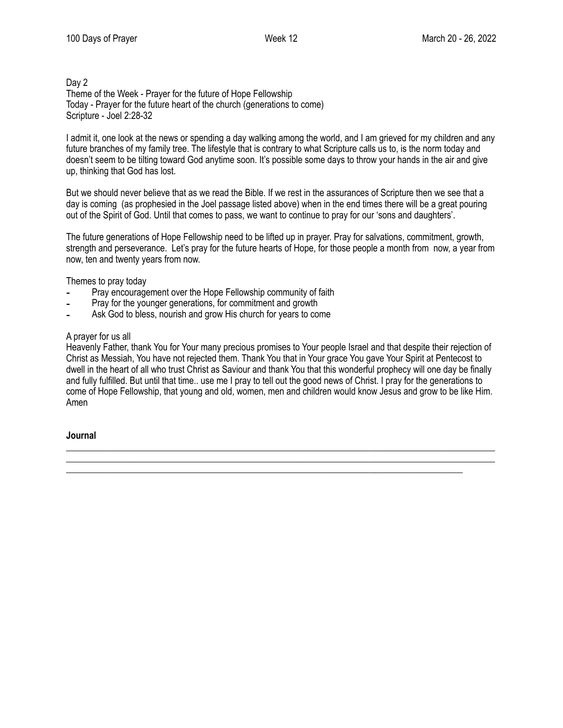## Day 2 Theme of the Week - Prayer for the future of Hope Fellowship Today - Prayer for the future heart of the church (generations to come) Scripture - Joel 2:28-32

I admit it, one look at the news or spending a day walking among the world, and I am grieved for my children and any future branches of my family tree. The lifestyle that is contrary to what Scripture calls us to, is the norm today and doesn't seem to be tilting toward God anytime soon. It's possible some days to throw your hands in the air and give up, thinking that God has lost.

But we should never believe that as we read the Bible. If we rest in the assurances of Scripture then we see that a day is coming (as prophesied in the Joel passage listed above) when in the end times there will be a great pouring out of the Spirit of God. Until that comes to pass, we want to continue to pray for our 'sons and daughters'.

The future generations of Hope Fellowship need to be lifted up in prayer. Pray for salvations, commitment, growth, strength and perseverance. Let's pray for the future hearts of Hope, for those people a month from now, a year from now, ten and twenty years from now.

Themes to pray today

- Pray encouragement over the Hope Fellowship community of faith
- Pray for the younger generations, for commitment and growth
- Ask God to bless, nourish and grow His church for years to come

# A prayer for us all

Heavenly Father, thank You for Your many precious promises to Your people Israel and that despite their rejection of Christ as Messiah, You have not rejected them. Thank You that in Your grace You gave Your Spirit at Pentecost to dwell in the heart of all who trust Christ as Saviour and thank You that this wonderful prophecy will one day be finally and fully fulfilled. But until that time.. use me I pray to tell out the good news of Christ. I pray for the generations to come of Hope Fellowship, that young and old, women, men and children would know Jesus and grow to be like Him. Amen

\_\_\_\_\_\_\_\_\_\_\_\_\_\_\_\_\_\_\_\_\_\_\_\_\_\_\_\_\_\_\_\_\_\_\_\_\_\_\_\_\_\_\_\_\_\_\_\_\_\_\_\_\_\_\_\_\_\_\_\_\_\_\_\_\_\_\_\_\_\_\_\_\_\_\_\_\_\_\_\_\_\_\_\_\_\_\_\_\_\_\_\_\_ \_\_\_\_\_\_\_\_\_\_\_\_\_\_\_\_\_\_\_\_\_\_\_\_\_\_\_\_\_\_\_\_\_\_\_\_\_\_\_\_\_\_\_\_\_\_\_\_\_\_\_\_\_\_\_\_\_\_\_\_\_\_\_\_\_\_\_\_\_\_\_\_\_\_\_\_\_\_\_\_\_\_\_\_\_\_\_\_\_\_\_\_\_

\_\_\_\_\_\_\_\_\_\_\_\_\_\_\_\_\_\_\_\_\_\_\_\_\_\_\_\_\_\_\_\_\_\_\_\_\_\_\_\_\_\_\_\_\_\_\_\_\_\_\_\_\_\_\_\_\_\_\_\_\_\_\_\_\_\_\_\_\_\_\_\_\_\_\_\_\_\_\_\_\_\_\_\_\_\_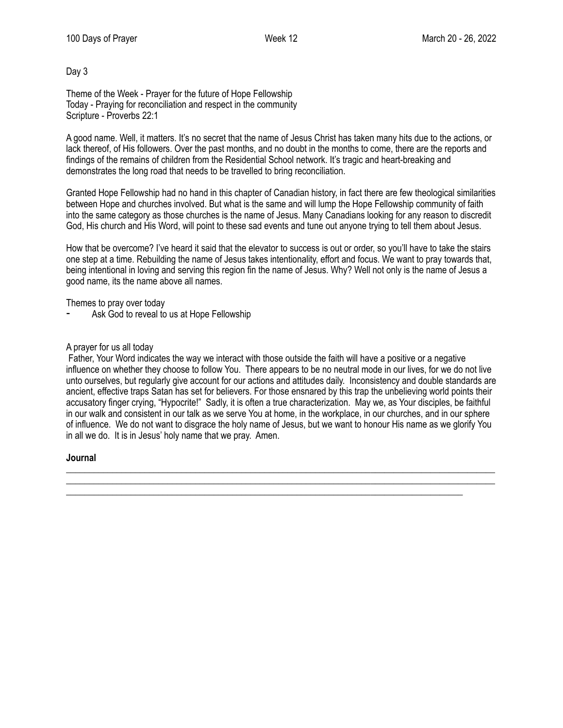Day 3

Theme of the Week - Prayer for the future of Hope Fellowship Today - Praying for reconciliation and respect in the community Scripture - Proverbs 22:1

A good name. Well, it matters. It's no secret that the name of Jesus Christ has taken many hits due to the actions, or lack thereof, of His followers. Over the past months, and no doubt in the months to come, there are the reports and findings of the remains of children from the Residential School network. It's tragic and heart-breaking and demonstrates the long road that needs to be travelled to bring reconciliation.

Granted Hope Fellowship had no hand in this chapter of Canadian history, in fact there are few theological similarities between Hope and churches involved. But what is the same and will lump the Hope Fellowship community of faith into the same category as those churches is the name of Jesus. Many Canadians looking for any reason to discredit God, His church and His Word, will point to these sad events and tune out anyone trying to tell them about Jesus.

How that be overcome? I've heard it said that the elevator to success is out or order, so you'll have to take the stairs one step at a time. Rebuilding the name of Jesus takes intentionality, effort and focus. We want to pray towards that, being intentional in loving and serving this region fin the name of Jesus. Why? Well not only is the name of Jesus a good name, its the name above all names.

Themes to pray over today

Ask God to reveal to us at Hope Fellowship

#### A prayer for us all today

 Father, Your Word indicates the way we interact with those outside the faith will have a positive or a negative influence on whether they choose to follow You. There appears to be no neutral mode in our lives, for we do not live unto ourselves, but regularly give account for our actions and attitudes daily. Inconsistency and double standards are ancient, effective traps Satan has set for believers. For those ensnared by this trap the unbelieving world points their accusatory finger crying, "Hypocrite!" Sadly, it is often a true characterization. May we, as Your disciples, be faithful in our walk and consistent in our talk as we serve You at home, in the workplace, in our churches, and in our sphere of influence. We do not want to disgrace the holy name of Jesus, but we want to honour His name as we glorify You in all we do. It is in Jesus' holy name that we pray. Amen.

\_\_\_\_\_\_\_\_\_\_\_\_\_\_\_\_\_\_\_\_\_\_\_\_\_\_\_\_\_\_\_\_\_\_\_\_\_\_\_\_\_\_\_\_\_\_\_\_\_\_\_\_\_\_\_\_\_\_\_\_\_\_\_\_\_\_\_\_\_\_\_\_\_\_\_\_\_\_\_\_\_\_\_\_\_\_\_\_\_\_\_\_\_ \_\_\_\_\_\_\_\_\_\_\_\_\_\_\_\_\_\_\_\_\_\_\_\_\_\_\_\_\_\_\_\_\_\_\_\_\_\_\_\_\_\_\_\_\_\_\_\_\_\_\_\_\_\_\_\_\_\_\_\_\_\_\_\_\_\_\_\_\_\_\_\_\_\_\_\_\_\_\_\_\_\_\_\_\_\_\_\_\_\_\_\_\_

\_\_\_\_\_\_\_\_\_\_\_\_\_\_\_\_\_\_\_\_\_\_\_\_\_\_\_\_\_\_\_\_\_\_\_\_\_\_\_\_\_\_\_\_\_\_\_\_\_\_\_\_\_\_\_\_\_\_\_\_\_\_\_\_\_\_\_\_\_\_\_\_\_\_\_\_\_\_\_\_\_\_\_\_\_\_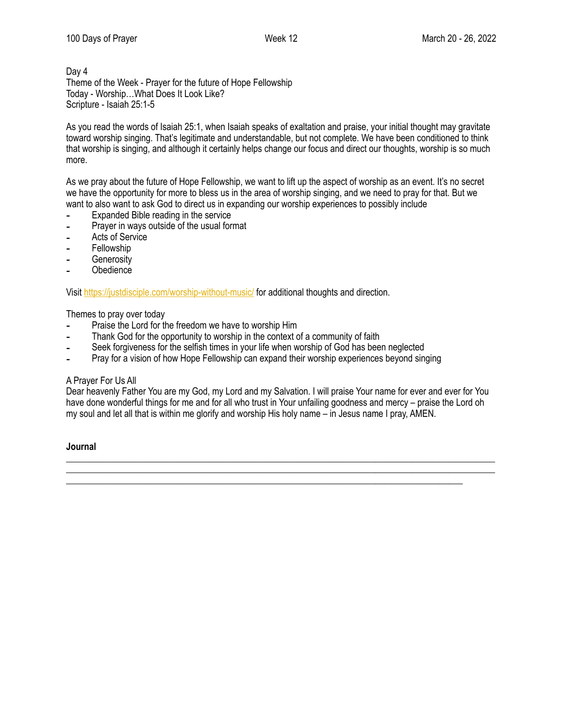Day 4 Theme of the Week - Prayer for the future of Hope Fellowship Today - Worship…What Does It Look Like? Scripture - Isaiah 25:1-5

As you read the words of Isaiah 25:1, when Isaiah speaks of exaltation and praise, your initial thought may gravitate toward worship singing. That's legitimate and understandable, but not complete. We have been conditioned to think that worship is singing, and although it certainly helps change our focus and direct our thoughts, worship is so much more.

As we pray about the future of Hope Fellowship, we want to lift up the aspect of worship as an event. It's no secret we have the opportunity for more to bless us in the area of worship singing, and we need to pray for that. But we want to also want to ask God to direct us in expanding our worship experiences to possibly include

- ⁃ Expanded Bible reading in the service
- ⁃ Prayer in ways outside of the usual format
- Acts of Service
- ⁃ Fellowship
- **Generosity**
- **Obedience**

Visit<https://justdisciple.com/worship-without-music/> for additional thoughts and direction.

Themes to pray over today

- ⁃ Praise the Lord for the freedom we have to worship Him
- Thank God for the opportunity to worship in the context of a community of faith
- Seek forgiveness for the selfish times in your life when worship of God has been neglected
- Pray for a vision of how Hope Fellowship can expand their worship experiences beyond singing

## A Prayer For Us All

Dear heavenly Father You are my God, my Lord and my Salvation. I will praise Your name for ever and ever for You have done wonderful things for me and for all who trust in Your unfailing goodness and mercy – praise the Lord oh my soul and let all that is within me glorify and worship His holy name – in Jesus name I pray, AMEN.

\_\_\_\_\_\_\_\_\_\_\_\_\_\_\_\_\_\_\_\_\_\_\_\_\_\_\_\_\_\_\_\_\_\_\_\_\_\_\_\_\_\_\_\_\_\_\_\_\_\_\_\_\_\_\_\_\_\_\_\_\_\_\_\_\_\_\_\_\_\_\_\_\_\_\_\_\_\_\_\_\_\_\_\_\_\_\_\_\_\_\_\_\_ \_\_\_\_\_\_\_\_\_\_\_\_\_\_\_\_\_\_\_\_\_\_\_\_\_\_\_\_\_\_\_\_\_\_\_\_\_\_\_\_\_\_\_\_\_\_\_\_\_\_\_\_\_\_\_\_\_\_\_\_\_\_\_\_\_\_\_\_\_\_\_\_\_\_\_\_\_\_\_\_\_\_\_\_\_\_\_\_\_\_\_\_\_

\_\_\_\_\_\_\_\_\_\_\_\_\_\_\_\_\_\_\_\_\_\_\_\_\_\_\_\_\_\_\_\_\_\_\_\_\_\_\_\_\_\_\_\_\_\_\_\_\_\_\_\_\_\_\_\_\_\_\_\_\_\_\_\_\_\_\_\_\_\_\_\_\_\_\_\_\_\_\_\_\_\_\_\_\_\_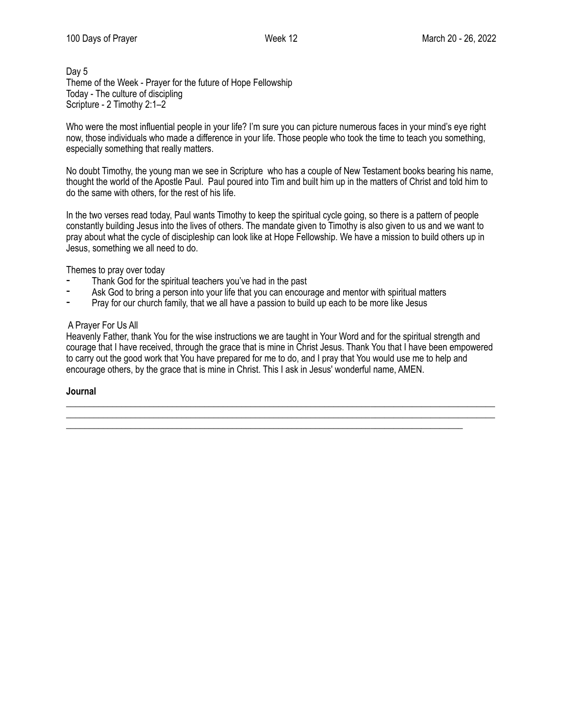# Day 5 Theme of the Week - Prayer for the future of Hope Fellowship Today - The culture of discipling Scripture - 2 Timothy 2:1–2

Who were the most influential people in your life? I'm sure you can picture numerous faces in your mind's eye right now, those individuals who made a difference in your life. Those people who took the time to teach you something, especially something that really matters.

No doubt Timothy, the young man we see in Scripture who has a couple of New Testament books bearing his name, thought the world of the Apostle Paul. Paul poured into Tim and built him up in the matters of Christ and told him to do the same with others, for the rest of his life.

In the two verses read today, Paul wants Timothy to keep the spiritual cycle going, so there is a pattern of people constantly building Jesus into the lives of others. The mandate given to Timothy is also given to us and we want to pray about what the cycle of discipleship can look like at Hope Fellowship. We have a mission to build others up in Jesus, something we all need to do.

Themes to pray over today

- Thank God for the spiritual teachers you've had in the past
- Fask God to bring a person into your life that you can encourage and mentor with spiritual matters <br>Provides our church family, that we all have a passion to build up each to be more like locus.
- Pray for our church family, that we all have a passion to build up each to be more like Jesus

# A Prayer For Us All

Heavenly Father, thank You for the wise instructions we are taught in Your Word and for the spiritual strength and courage that I have received, through the grace that is mine in Christ Jesus. Thank You that I have been empowered to carry out the good work that You have prepared for me to do, and I pray that You would use me to help and encourage others, by the grace that is mine in Christ. This I ask in Jesus' wonderful name, AMEN.

\_\_\_\_\_\_\_\_\_\_\_\_\_\_\_\_\_\_\_\_\_\_\_\_\_\_\_\_\_\_\_\_\_\_\_\_\_\_\_\_\_\_\_\_\_\_\_\_\_\_\_\_\_\_\_\_\_\_\_\_\_\_\_\_\_\_\_\_\_\_\_\_\_\_\_\_\_\_\_\_\_\_\_\_\_\_\_\_\_\_\_\_\_

\_\_\_\_\_\_\_\_\_\_\_\_\_\_\_\_\_\_\_\_\_\_\_\_\_\_\_\_\_\_\_\_\_\_\_\_\_\_\_\_\_\_\_\_\_\_\_\_\_\_\_\_\_\_\_\_\_\_\_\_\_\_\_\_\_\_\_\_\_\_\_\_\_\_\_\_\_\_\_\_\_\_\_\_\_\_

#### **Journal**  \_\_\_\_\_\_\_\_\_\_\_\_\_\_\_\_\_\_\_\_\_\_\_\_\_\_\_\_\_\_\_\_\_\_\_\_\_\_\_\_\_\_\_\_\_\_\_\_\_\_\_\_\_\_\_\_\_\_\_\_\_\_\_\_\_\_\_\_\_\_\_\_\_\_\_\_\_\_\_\_\_\_\_\_\_\_\_\_\_\_\_\_\_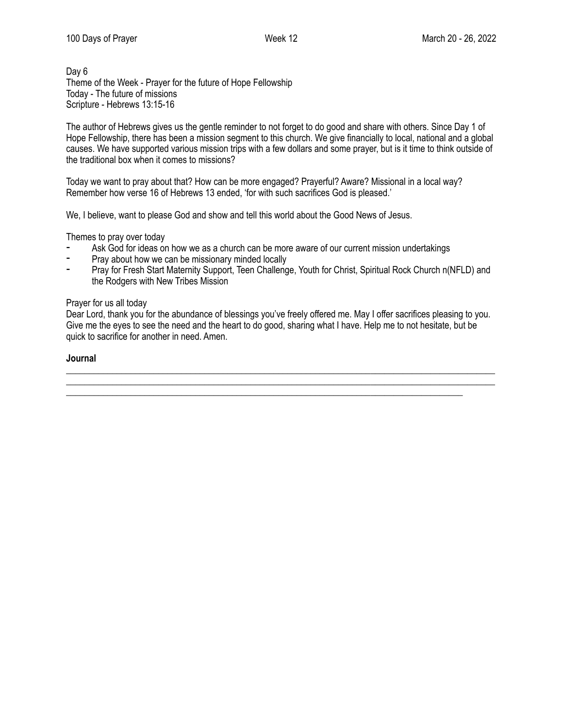Day 6 Theme of the Week - Prayer for the future of Hope Fellowship Today - The future of missions Scripture - Hebrews 13:15-16

The author of Hebrews gives us the gentle reminder to not forget to do good and share with others. Since Day 1 of Hope Fellowship, there has been a mission segment to this church. We give financially to local, national and a global causes. We have supported various mission trips with a few dollars and some prayer, but is it time to think outside of the traditional box when it comes to missions?

Today we want to pray about that? How can be more engaged? Prayerful? Aware? Missional in a local way? Remember how verse 16 of Hebrews 13 ended, 'for with such sacrifices God is pleased.'

We, I believe, want to please God and show and tell this world about the Good News of Jesus.

Themes to pray over today

- Ask God for ideas on how we as a church can be more aware of our current mission undertakings
- Pray about how we can be missionary minded locally
- Pray for Fresh Start Maternity Support, Teen Challenge, Youth for Christ, Spiritual Rock Church n(NFLD) and the Rodgers with New Tribes Mission

#### Prayer for us all today

Dear Lord, thank you for the abundance of blessings you've freely offered me. May I offer sacrifices pleasing to you. Give me the eyes to see the need and the heart to do good, sharing what I have. Help me to not hesitate, but be quick to sacrifice for another in need. Amen.

\_\_\_\_\_\_\_\_\_\_\_\_\_\_\_\_\_\_\_\_\_\_\_\_\_\_\_\_\_\_\_\_\_\_\_\_\_\_\_\_\_\_\_\_\_\_\_\_\_\_\_\_\_\_\_\_\_\_\_\_\_\_\_\_\_\_\_\_\_\_\_\_\_\_\_\_\_\_\_\_\_\_\_\_\_\_\_\_\_\_\_\_\_ \_\_\_\_\_\_\_\_\_\_\_\_\_\_\_\_\_\_\_\_\_\_\_\_\_\_\_\_\_\_\_\_\_\_\_\_\_\_\_\_\_\_\_\_\_\_\_\_\_\_\_\_\_\_\_\_\_\_\_\_\_\_\_\_\_\_\_\_\_\_\_\_\_\_\_\_\_\_\_\_\_\_\_\_\_\_\_\_\_\_\_\_\_

\_\_\_\_\_\_\_\_\_\_\_\_\_\_\_\_\_\_\_\_\_\_\_\_\_\_\_\_\_\_\_\_\_\_\_\_\_\_\_\_\_\_\_\_\_\_\_\_\_\_\_\_\_\_\_\_\_\_\_\_\_\_\_\_\_\_\_\_\_\_\_\_\_\_\_\_\_\_\_\_\_\_\_\_\_\_